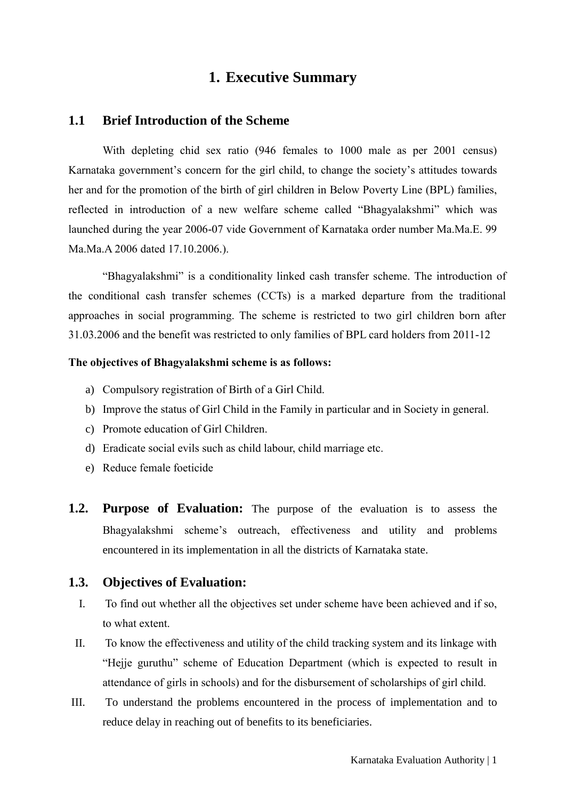# **1. Executive Summary**

### **1.1 Brief Introduction of the Scheme**

With depleting chid sex ratio (946 females to 1000 male as per 2001 census) Karnataka government's concern for the girl child, to change the society's attitudes towards her and for the promotion of the birth of girl children in Below Poverty Line (BPL) families, reflected in introduction of a new welfare scheme called "Bhagyalakshmi" which was launched during the year 2006-07 vide Government of Karnataka order number Ma.Ma.E. 99 Ma.Ma.A 2006 dated 17.10.2006.).

"Bhagyalakshmi" is a conditionality linked cash transfer scheme. The introduction of the conditional cash transfer schemes (CCTs) is a marked departure from the traditional approaches in social programming. The scheme is restricted to two girl children born after 31.03.2006 and the benefit was restricted to only families of BPL card holders from 2011-12

#### **The objectives of Bhagyalakshmi scheme is as follows:**

- a) Compulsory registration of Birth of a Girl Child.
- b) Improve the status of Girl Child in the Family in particular and in Society in general.
- c) Promote education of Girl Children.
- d) Eradicate social evils such as child labour, child marriage etc.
- e) Reduce female foeticide
- **1.2. Purpose of Evaluation:** The purpose of the evaluation is to assess the Bhagyalakshmi scheme's outreach, effectiveness and utility and problems encountered in its implementation in all the districts of Karnataka state.

#### **1.3. Objectives of Evaluation:**

- I. To find out whether all the objectives set under scheme have been achieved and if so, to what extent.
- II. To know the effectiveness and utility of the child tracking system and its linkage with "Hejje guruthu" scheme of Education Department (which is expected to result in attendance of girls in schools) and for the disbursement of scholarships of girl child.
- III. To understand the problems encountered in the process of implementation and to reduce delay in reaching out of benefits to its beneficiaries.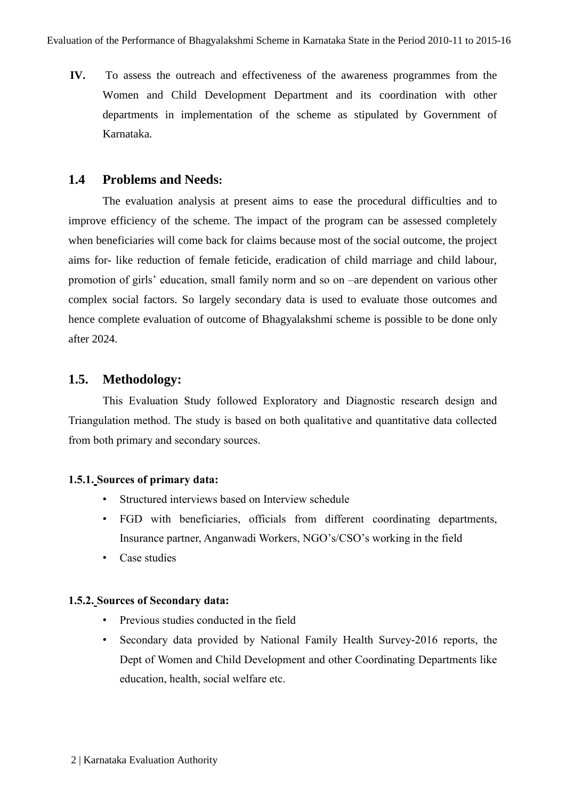**IV.** To assess the outreach and effectiveness of the awareness programmes from the Women and Child Development Department and its coordination with other departments in implementation of the scheme as stipulated by Government of Karnataka.

### **1.4 Problems and Needs:**

The evaluation analysis at present aims to ease the procedural difficulties and to improve efficiency of the scheme. The impact of the program can be assessed completely when beneficiaries will come back for claims because most of the social outcome, the project aims for- like reduction of female feticide, eradication of child marriage and child labour, promotion of girls' education, small family norm and so on –are dependent on various other complex social factors. So largely secondary data is used to evaluate those outcomes and hence complete evaluation of outcome of Bhagyalakshmi scheme is possible to be done only after 2024.

# **1.5. Methodology:**

This Evaluation Study followed Exploratory and Diagnostic research design and Triangulation method. The study is based on both qualitative and quantitative data collected from both primary and secondary sources.

#### **1.5.1. Sources of primary data:**

- Structured interviews based on Interview schedule
- FGD with beneficiaries, officials from different coordinating departments, Insurance partner, Anganwadi Workers, NGO's/CSO's working in the field
- Case studies

#### **1.5.2. Sources of Secondary data:**

- Previous studies conducted in the field
- Secondary data provided by National Family Health Survey-2016 reports, the Dept of Women and Child Development and other Coordinating Departments like education, health, social welfare etc.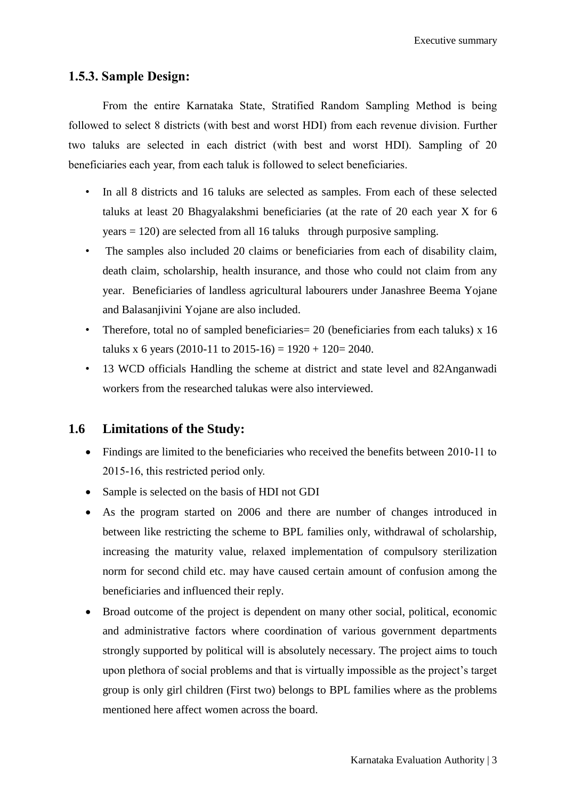Executive summary

### **1.5.3. Sample Design:**

From the entire Karnataka State, Stratified Random Sampling Method is being followed to select 8 districts (with best and worst HDI) from each revenue division. Further two taluks are selected in each district (with best and worst HDI). Sampling of 20 beneficiaries each year, from each taluk is followed to select beneficiaries.

- In all 8 districts and 16 taluks are selected as samples. From each of these selected taluks at least 20 Bhagyalakshmi beneficiaries (at the rate of 20 each year X for 6  $years = 120$ ) are selected from all 16 taluks through purposive sampling.
- The samples also included 20 claims or beneficiaries from each of disability claim, death claim, scholarship, health insurance, and those who could not claim from any year. Beneficiaries of landless agricultural labourers under Janashree Beema Yojane and Balasanjivini Yojane are also included.
- Therefore, total no of sampled beneficiaries = 20 (beneficiaries from each taluks) x 16 taluks x 6 years (2010-11 to 2015-16) =  $1920 + 120 = 2040$ .
- 13 WCD officials Handling the scheme at district and state level and 82Anganwadi workers from the researched talukas were also interviewed.

# **1.6 Limitations of the Study:**

- Findings are limited to the beneficiaries who received the benefits between 2010-11 to 2015-16, this restricted period only.
- Sample is selected on the basis of HDI not GDI
- As the program started on 2006 and there are number of changes introduced in between like restricting the scheme to BPL families only, withdrawal of scholarship, increasing the maturity value, relaxed implementation of compulsory sterilization norm for second child etc. may have caused certain amount of confusion among the beneficiaries and influenced their reply.
- Broad outcome of the project is dependent on many other social, political, economic and administrative factors where coordination of various government departments strongly supported by political will is absolutely necessary. The project aims to touch upon plethora of social problems and that is virtually impossible as the project's target group is only girl children (First two) belongs to BPL families where as the problems mentioned here affect women across the board.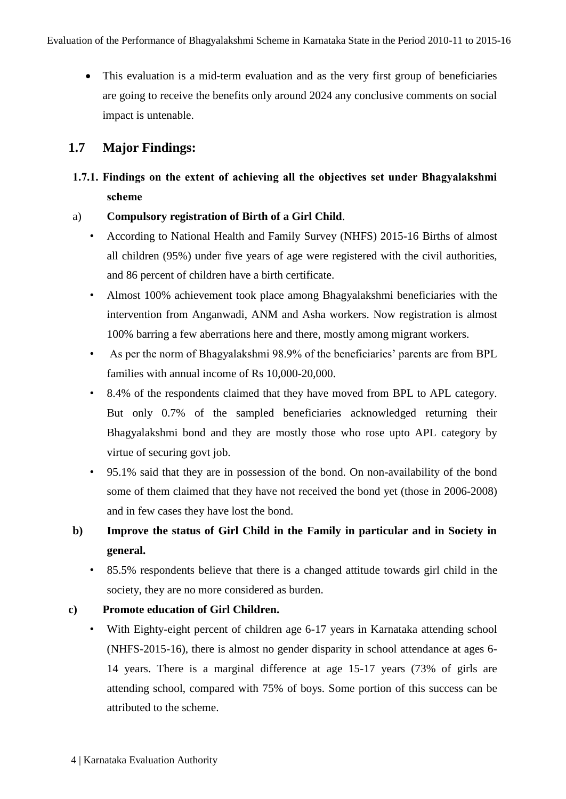• This evaluation is a mid-term evaluation and as the very first group of beneficiaries are going to receive the benefits only around 2024 any conclusive comments on social impact is untenable.

# **1.7 Major Findings:**

- **1.7.1. Findings on the extent of achieving all the objectives set under Bhagyalakshmi scheme**
- a) **Compulsory registration of Birth of a Girl Child**.
	- According to National Health and Family Survey (NHFS) 2015-16 Births of almost all children (95%) under five years of age were registered with the civil authorities, and 86 percent of children have a birth certificate.
	- Almost 100% achievement took place among Bhagyalakshmi beneficiaries with the intervention from Anganwadi, ANM and Asha workers. Now registration is almost 100% barring a few aberrations here and there, mostly among migrant workers.
	- As per the norm of Bhagyalakshmi 98.9% of the beneficiaries' parents are from BPL families with annual income of Rs 10,000-20,000.
	- 8.4% of the respondents claimed that they have moved from BPL to APL category. But only 0.7% of the sampled beneficiaries acknowledged returning their Bhagyalakshmi bond and they are mostly those who rose upto APL category by virtue of securing govt job.
	- 95.1% said that they are in possession of the bond. On non-availability of the bond some of them claimed that they have not received the bond yet (those in 2006-2008) and in few cases they have lost the bond.
- **b) Improve the status of Girl Child in the Family in particular and in Society in general.** 
	- 85.5% respondents believe that there is a changed attitude towards girl child in the society, they are no more considered as burden.

# **c) Promote education of Girl Children.**

• With Eighty-eight percent of children age 6-17 years in Karnataka attending school (NHFS-2015-16), there is almost no gender disparity in school attendance at ages 6- 14 years. There is a marginal difference at age 15-17 years (73% of girls are attending school, compared with 75% of boys. Some portion of this success can be attributed to the scheme.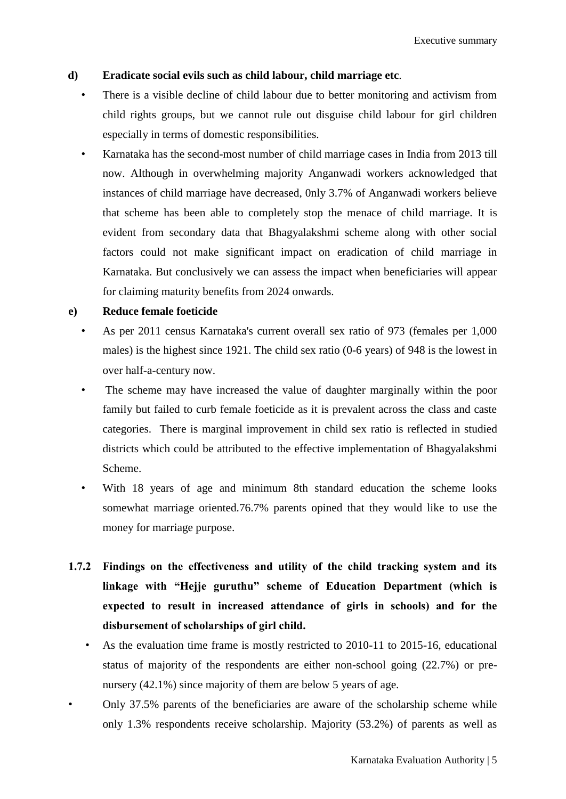Executive summary

### **d) Eradicate social evils such as child labour, child marriage etc**.

- There is a visible decline of child labour due to better monitoring and activism from child rights groups, but we cannot rule out disguise child labour for girl children especially in terms of domestic responsibilities.
- Karnataka has the second-most number of child marriage cases in India from 2013 till now. Although in overwhelming majority Anganwadi workers acknowledged that instances of child marriage have decreased, 0nly 3.7% of Anganwadi workers believe that scheme has been able to completely stop the menace of child marriage. It is evident from secondary data that Bhagyalakshmi scheme along with other social factors could not make significant impact on eradication of child marriage in Karnataka. But conclusively we can assess the impact when beneficiaries will appear for claiming maturity benefits from 2024 onwards.

### **e) Reduce female foeticide**

- As per 2011 census Karnataka's current overall sex ratio of 973 (females per 1,000 males) is the highest since 1921. The child sex ratio (0-6 years) of 948 is the lowest in over half-a-century now.
- The scheme may have increased the value of daughter marginally within the poor family but failed to curb female foeticide as it is prevalent across the class and caste categories. There is marginal improvement in child sex ratio is reflected in studied districts which could be attributed to the effective implementation of Bhagyalakshmi Scheme.
- With 18 years of age and minimum 8th standard education the scheme looks somewhat marriage oriented.76.7% parents opined that they would like to use the money for marriage purpose.
- **1.7.2 Findings on the effectiveness and utility of the child tracking system and its linkage with "Hejje guruthu" scheme of Education Department (which is expected to result in increased attendance of girls in schools) and for the disbursement of scholarships of girl child.** 
	- As the evaluation time frame is mostly restricted to 2010-11 to 2015-16, educational status of majority of the respondents are either non-school going (22.7%) or prenursery (42.1%) since majority of them are below 5 years of age.
- Only 37.5% parents of the beneficiaries are aware of the scholarship scheme while only 1.3% respondents receive scholarship. Majority (53.2%) of parents as well as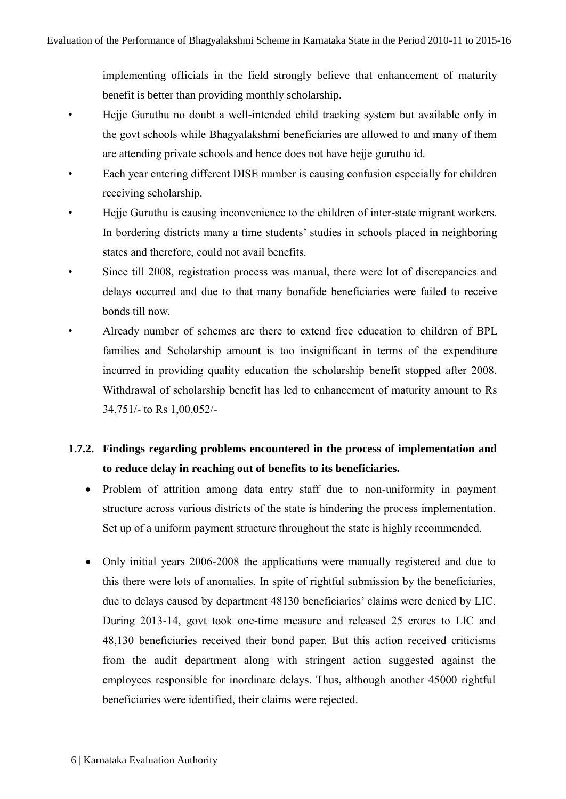implementing officials in the field strongly believe that enhancement of maturity benefit is better than providing monthly scholarship.

- Hejje Guruthu no doubt a well-intended child tracking system but available only in the govt schools while Bhagyalakshmi beneficiaries are allowed to and many of them are attending private schools and hence does not have hejje guruthu id.
- Each year entering different DISE number is causing confusion especially for children receiving scholarship.
- Hejje Guruthu is causing inconvenience to the children of inter-state migrant workers. In bordering districts many a time students' studies in schools placed in neighboring states and therefore, could not avail benefits.
- Since till 2008, registration process was manual, there were lot of discrepancies and delays occurred and due to that many bonafide beneficiaries were failed to receive bonds till now.
- Already number of schemes are there to extend free education to children of BPL families and Scholarship amount is too insignificant in terms of the expenditure incurred in providing quality education the scholarship benefit stopped after 2008. Withdrawal of scholarship benefit has led to enhancement of maturity amount to Rs 34,751/- to Rs 1,00,052/-

# **1.7.2. Findings regarding problems encountered in the process of implementation and to reduce delay in reaching out of benefits to its beneficiaries.**

- Problem of attrition among data entry staff due to non-uniformity in payment structure across various districts of the state is hindering the process implementation. Set up of a uniform payment structure throughout the state is highly recommended.
- Only initial years 2006-2008 the applications were manually registered and due to this there were lots of anomalies. In spite of rightful submission by the beneficiaries, due to delays caused by department 48130 beneficiaries' claims were denied by LIC. During 2013-14, govt took one-time measure and released 25 crores to LIC and 48,130 beneficiaries received their bond paper. But this action received criticisms from the audit department along with stringent action suggested against the employees responsible for inordinate delays. Thus, although another 45000 rightful beneficiaries were identified, their claims were rejected.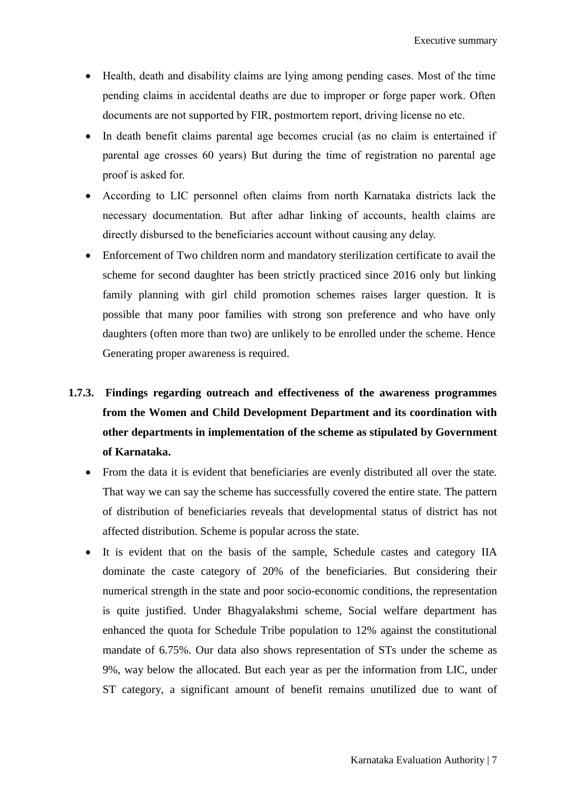- Health, death and disability claims are lying among pending cases. Most of the time pending claims in accidental deaths are due to improper or forge paper work. Often documents are not supported by FIR, postmortem report, driving license no etc.
- In death benefit claims parental age becomes crucial (as no claim is entertained if parental age crosses 60 years) But during the time of registration no parental age proof is asked for.
- According to LIC personnel often claims from north Karnataka districts lack the necessary documentation. But after adhar linking of accounts, health claims are directly disbursed to the beneficiaries account without causing any delay.
- Enforcement of Two children norm and mandatory sterilization certificate to avail the scheme for second daughter has been strictly practiced since 2016 only but linking family planning with girl child promotion schemes raises larger question. It is possible that many poor families with strong son preference and who have only daughters (often more than two) are unlikely to be enrolled under the scheme. Hence Generating proper awareness is required.
- **1.7.3. Findings regarding outreach and effectiveness of the awareness programmes from the Women and Child Development Department and its coordination with other departments in implementation of the scheme as stipulated by Government of Karnataka.**
	- From the data it is evident that beneficiaries are evenly distributed all over the state. That way we can say the scheme has successfully covered the entire state. The pattern of distribution of beneficiaries reveals that developmental status of district has not affected distribution. Scheme is popular across the state.
	- It is evident that on the basis of the sample, Schedule castes and category IIA dominate the caste category of 20% of the beneficiaries. But considering their numerical strength in the state and poor socio-economic conditions, the representation is quite justified. Under Bhagyalakshmi scheme, Social welfare department has enhanced the quota for Schedule Tribe population to 12% against the constitutional mandate of 6.75%. Our data also shows representation of STs under the scheme as 9%, way below the allocated. But each year as per the information from LIC, under ST category, a significant amount of benefit remains unutilized due to want of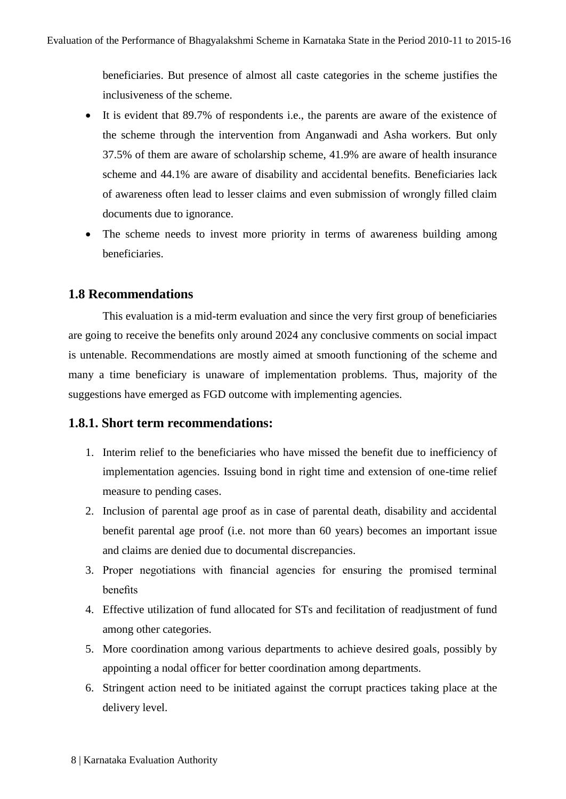beneficiaries. But presence of almost all caste categories in the scheme justifies the inclusiveness of the scheme.

- It is evident that 89.7% of respondents i.e., the parents are aware of the existence of the scheme through the intervention from Anganwadi and Asha workers. But only 37.5% of them are aware of scholarship scheme, 41.9% are aware of health insurance scheme and 44.1% are aware of disability and accidental benefits. Beneficiaries lack of awareness often lead to lesser claims and even submission of wrongly filled claim documents due to ignorance.
- The scheme needs to invest more priority in terms of awareness building among beneficiaries.

# **1.8 Recommendations**

This evaluation is a mid-term evaluation and since the very first group of beneficiaries are going to receive the benefits only around 2024 any conclusive comments on social impact is untenable. Recommendations are mostly aimed at smooth functioning of the scheme and many a time beneficiary is unaware of implementation problems. Thus, majority of the suggestions have emerged as FGD outcome with implementing agencies.

# **1.8.1. Short term recommendations:**

- 1. Interim relief to the beneficiaries who have missed the benefit due to inefficiency of implementation agencies. Issuing bond in right time and extension of one-time relief measure to pending cases.
- 2. Inclusion of parental age proof as in case of parental death, disability and accidental benefit parental age proof (i.e. not more than 60 years) becomes an important issue and claims are denied due to documental discrepancies.
- 3. Proper negotiations with financial agencies for ensuring the promised terminal benefits
- 4. Effective utilization of fund allocated for STs and fecilitation of readjustment of fund among other categories.
- 5. More coordination among various departments to achieve desired goals, possibly by appointing a nodal officer for better coordination among departments.
- 6. Stringent action need to be initiated against the corrupt practices taking place at the delivery level.